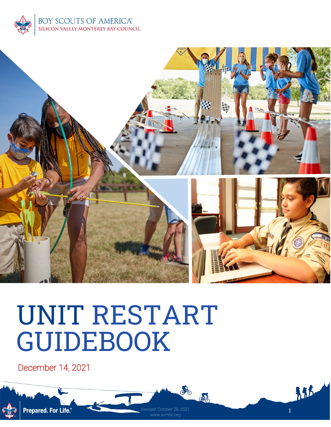



www.svmbc.org

CAD

de

# UNIT RESTART GUIDEBOOK

December 14, 2021

邦式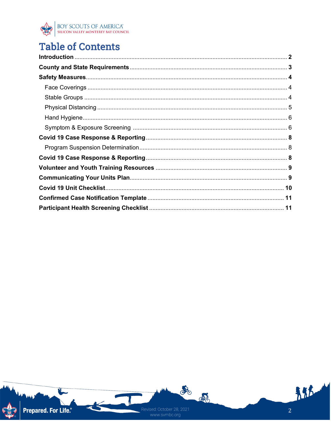

# **Table of Contents**

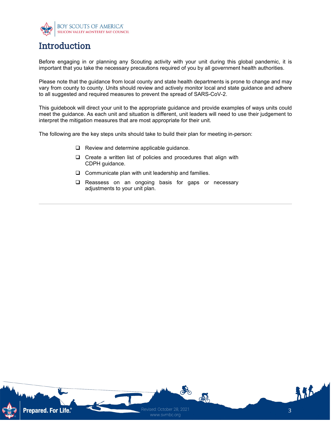

## **Introduction**

Before engaging in or planning any Scouting activity with your unit during this global pandemic, it is important that you take the necessary precautions required of you by all government health authorities.

Please note that the guidance from local county and state health departments is prone to change and may vary from county to county. Units should review and actively monitor local and state guidance and adhere to all suggested and required measures to prevent the spread of SARS-CoV-2.

This guidebook will direct your unit to the appropriate guidance and provide examples of ways units could meet the guidance. As each unit and situation is different, unit leaders will need to use their judgement to interpret the mitigation measures that are most appropriate for their unit.

The following are the key steps units should take to build their plan for meeting in-person:

- $\Box$  Review and determine applicable quidance.
- $\square$  Create a written list of policies and procedures that align with CDPH guidance.
- $\Box$  Communicate plan with unit leadership and families.
- □ Reassess on an ongoing basis for gaps or necessary adjustments to your unit plan.

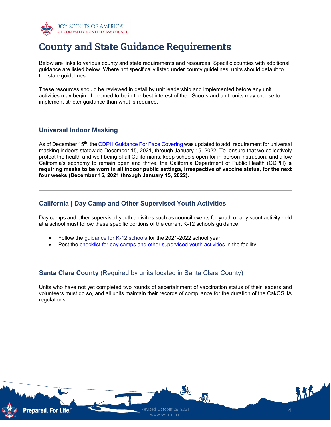

# County and State Guidance Requirements

Below are links to various county and state requirements and resources. Specific counties with additional guidance are listed below. Where not specifically listed under county guidelines, units should default to the state guidelines.

These resources should be reviewed in detail by unit leadership and implemented before any unit activities may begin. If deemed to be in the best interest of their Scouts and unit, units may choose to implement stricter guidance than what is required.

#### **Universal Indoor Masking**

As of December 15<sup>th</sup>, the [CDPH Guidance For Face Covering](https://www.cdph.ca.gov/Programs/CID/DCDC/Pages/COVID-19/guidance-for-face-coverings.aspx) was updated to add requirement for universal masking indoors statewide December 15, 2021, through January 15, 2022. To ensure that we collectively protect the health and well-being of all Californians; keep schools open for in-person instruction; and allow California's economy to remain open and thrive, the California Department of Public Health (CDPH) **is requiring masks to be worn in all indoor public settings, irrespective of vaccine status, for the next four weeks (December 15, 2021 through January 15, 2022).**

#### **California | Day Camp and Other Supervised Youth Activities**

Day camps and other supervised youth activities such as council events for youth or any scout activity held at a school must follow these specific portions of the current K-12 schools guidance:

- Follow the [guidance for K-12 schools](https://www.cdph.ca.gov/Programs/CID/DCDC/Pages/COVID-19/K-12-Guidance-2021-22-School-Year.aspx) for the 2021-2022 school year.
- Post the [checklist for day camps and other supervised youth activities](https://gcc02.safelinks.protection.outlook.com/?url=https%3A%2F%2Ffiles.covid19.ca.gov%2Fpdf%2Fchecklist-daycamps--en.pdf&data=04%7C01%7CNaomi.Bardach%40chhs.ca.gov%7Ce7ca7ef6c2d44e6a6ef908d92d0ef391%7C265c2dcd2a6e43aab2e826421a8c8526%7C0%7C0%7C637590365885606426%7CUnknown%7CTWFpbGZsb3d8eyJWIjoiMC4wLjAwMDAiLCJQIjoiV2luMzIiLCJBTiI6Ik1haWwiLCJXVCI6Mn0%3D%7C1000&sdata=DG0%2BAK6daXW8b1ltCMpNrnF97W0cCl7jzc8Pdr35wuk%3D&reserved=0) in the facility

#### **Santa Clara County** (Required by units located in Santa Clara County)

Units who have not yet completed two rounds of ascertainment of vaccination status of their leaders and volunteers must do so, and all units maintain their records of compliance for the duration of the Cal/OSHA regulations.

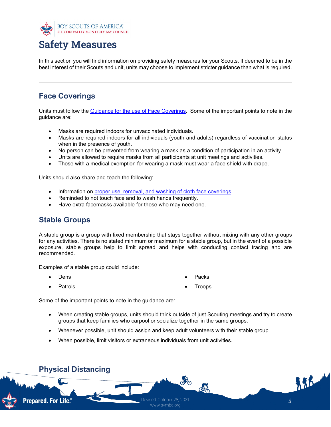

# Safety Measures

In this section you will find information on providing safety measures for your Scouts. If deemed to be in the best interest of their Scouts and unit, units may choose to implement stricter guidance than what is required.

## **Face Coverings**

Units must follow the [Guidance for the use of Face Coverings.](https://www.cdph.ca.gov/Programs/CID/DCDC/Pages/COVID-19/guidance-for-face-coverings.aspx) Some of the important points to note in the guidance are:

- Masks are required indoors for unvaccinated individuals.
- Masks are required indoors for all individuals (youth and adults) regardless of vaccination status when in the presence of youth.
- No person can be prevented from wearing a mask as a condition of participation in an activity.
- Units are allowed to require masks from all participants at unit meetings and activities.
- Those with a medical exemption for wearing a mask must wear a face shield with drape.

Units should also share and teach the following:

- Information on [proper use, removal, and washing of cloth face coverings](https://www.cdc.gov/coronavirus/2019-ncov/prevent-getting-sick/diy-cloth-face-coverings.html)
- Reminded to not touch face and to wash hands frequently.
- Have extra facemasks available for those who may need one.

### **Stable Groups**

A stable group is a group with fixed membership that stays together without mixing with any other groups for any activities. There is no stated minimum or maximum for a stable group, but in the event of a possible exposure, stable groups help to limit spread and helps with conducting contact tracing and are recommended.

Examples of a stable group could include:

**Dens** 

**Packs** 

• Patrols

**Troops** 

Some of the important points to note in the guidance are:

- When creating stable groups, units should think outside of just Scouting meetings and try to create groups that keep families who carpool or socialize together in the same groups.
- Whenever possible, unit should assign and keep adult volunteers with their stable group.
- When possible, limit visitors or extraneous individuals from unit activities.

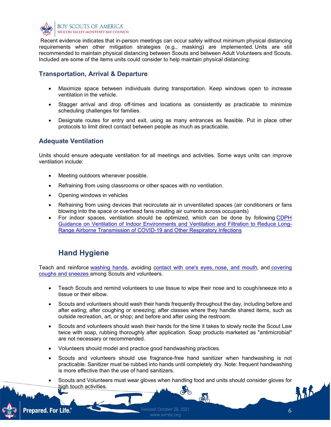

Recent evidence indicates that in-person meetings can occur safely without minimum physical distancing requirements when other mitigation strategies (e.g., masking) are implemented. Units are still recommended to maintain physical distancing between Scouts and between Adult Volunteers and Scouts. Included are some of the items units could consider to help maintain physical distancing:

#### **Transportation, Arrival & Departure**

- Maximize space between individuals during transportation. Keep windows open to increase ventilation in the vehicle.
- Stagger arrival and drop off-times and locations as consistently as practicable to minimize scheduling challenges for families.
- Designate routes for entry and exit, using as many entrances as feasible. Put in place other protocols to limit direct contact between people as much as practicable.

#### **Adequate Ventilation**

Units should ensure adequate ventilation for all meetings and activities. Some ways units can improve ventilation include:

- Meeting outdoors whenever possible.
- Refraining from using classrooms or other spaces with no ventilation.
- Opening windows in vehicles
- Refraining from using devices that recirculate air in unventilated spaces (air conditioners or fans blowing into the space or overhead fans creating air currents across occupants)
- For indoor spaces, ventilation should be optimized, which can be done by following [CDPH](https://www.cdph.ca.gov/Programs/CCDPHP/DEODC/EHLB/IAQ/Pages/Airborne-Diseases.aspx)  [Guidance on Ventilation of Indoor Environments and Ventilation and Filtration to Reduce Long-](https://www.cdph.ca.gov/Programs/CCDPHP/DEODC/EHLB/IAQ/Pages/Airborne-Diseases.aspx)[Range Airborne Transmission of COVID-19 and Other Respiratory Infections](https://www.cdph.ca.gov/Programs/CCDPHP/DEODC/EHLB/IAQ/Pages/Airborne-Diseases.aspx)

## **Hand Hygiene**

Teach and reinforce [washing hands,](https://www.cdc.gov/handwashing/index.html) avoiding [contact with one's eyes,](https://www.cdc.gov/coronavirus/2019-ncov/prevent-getting-sick/prevention-H.pdf) [nose, and mouth,](https://www.cdc.gov/coronavirus/2019-ncov/prevent-getting-sick/prevention-H.pdf) and [covering](https://www.cdc.gov/healthywater/hygiene/etiquette/coughing_sneezing.html)  [coughs and sneezes](https://www.cdc.gov/healthywater/hygiene/etiquette/coughing_sneezing.html) among Scouts and volunteers.

- Teach Scouts and remind volunteers to use tissue to wipe their nose and to cough/sneeze into a tissue or their elbow.
- Scouts and volunteers should wash their hands frequently throughout the day, including before and after eating; after coughing or sneezing; after classes where they handle shared items, such as outside recreation, art, or shop; and before and after using the restroom.
- Scouts and volunteers should wash their hands for the time it takes to slowly recite the Scout Law twice with soap, rubbing thoroughly after application. Soap products marketed as "antimicrobial" are not necessary or recommended.
- Volunteers should model and practice good handwashing practices.
- Scouts and volunteers should use fragrance-free hand sanitizer when handwashing is not practicable. Sanitizer must be rubbed into hands until completely dry. Note: frequent handwashing is more effective than the use of hand sanitizers.
- Scouts and Volunteers must wear gloves when handling food and units should consider gloves for high touch activities.



Revised: October 28, 2021 www.svmbc.org

 $M_{\rm h}$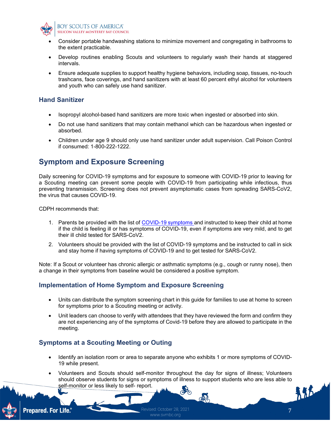

- Consider portable handwashing stations to minimize movement and congregating in bathrooms to the extent practicable.
- Develop routines enabling Scouts and volunteers to regularly wash their hands at staggered intervals.
- Ensure adequate supplies to support healthy hygiene behaviors, including soap, tissues, no-touch trashcans, face coverings, and hand sanitizers with at least 60 percent ethyl alcohol for volunteers and youth who can safely use hand sanitizer.

#### **Hand Sanitizer**

- Isopropyl alcohol-based hand sanitizers are more toxic when ingested or absorbed into skin.
- Do not use hand sanitizers that may contain methanol which can be hazardous when ingested or absorbed.
- Children under age 9 should only use hand sanitizer under adult supervision. Call Poison Control if consumed: 1-800-222-1222.

## **Symptom and Exposure Screening**

Daily screening for COVID-19 symptoms and for exposure to someone with COVID-19 prior to leaving for a Scouting meeting can prevent some people with COVID-19 from participating while infectious, thus preventing transmission. Screening does not prevent asymptomatic cases from spreading SARS-CoV2, the virus that causes COVID-19.

CDPH recommends that:

- 1. Parents be provided with the list of [COVID-19 symptoms](https://www.cdc.gov/coronavirus/2019-ncov/community/schools-childcare/symptom-screening.html#strategy) and instructed to keep their child at home if the child is feeling ill or has symptoms of COVID-19, even if symptoms are very mild, and to get their ill child tested for SARS-CoV2.
- 2. Volunteers should be provided with the list of COVID-19 symptoms and be instructed to call in sick and stay home if having symptoms of COVID-19 and to get tested for SARS-CoV2.

Note: If a Scout or volunteer has chronic allergic or asthmatic symptoms (e.g., cough or runny nose), then a change in their symptoms from baseline would be considered a positive symptom.

#### **Implementation of Home Symptom and Exposure Screening**

- Units can distribute the symptom screening chart in this guide for families to use at home to screen for symptoms prior to a Scouting meeting or activity.
- Unit leaders can choose to verify with attendees that they have reviewed the form and confirm they are not experiencing any of the symptoms of Covid-19 before they are allowed to participate in the meeting.

#### **Symptoms at a Scouting Meeting or Outing**

- Identify an isolation room or area to separate anyone who exhibits 1 or more symptoms of COVID-19 while present.
- Volunteers and Scouts should self-monitor throughout the day for signs of illness; Volunteers should observe students for signs or symptoms of illness to support students who are less able to self-monitor or less likely to self- report.





www.svmbc.org

 $M_{L}$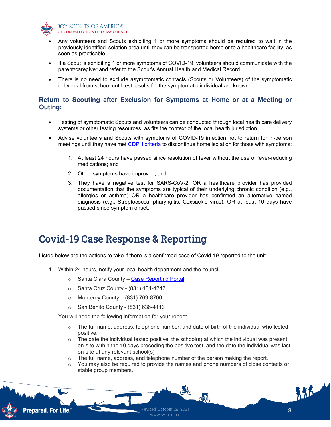

#### BOY SCOUTS OF AMERICA® SILICON VALLEY MONTEREY BAY COUNCIL

- Any volunteers and Scouts exhibiting 1 or more symptoms should be required to wait in the previously identified isolation area until they can be transported home or to a healthcare facility, as soon as practicable.
- If a Scout is exhibiting 1 or more symptoms of COVID-19, volunteers should communicate with the parent/caregiver and refer to the Scout's Annual Health and Medical Record.
- There is no need to exclude asymptomatic contacts (Scouts or Volunteers) of the symptomatic individual from school until test results for the symptomatic individual are known.

#### **Return to Scouting after Exclusion for Symptoms at Home or at a Meeting or Outing:**

- Testing of symptomatic Scouts and volunteers can be conducted through local health care delivery systems or other testing resources, as fits the context of the local health jurisdiction.
- Advise volunteers and Scouts with symptoms of COVID-19 infection not to return for in-person meetings until they have met [CDPH criteria](https://www.cdph.ca.gov/Programs/CID/DCDC/Pages/COVID-19/Guidance-on-Returning-to-Work-or-School-Following-COVID-19-Diagnosis.aspx) to discontinue home isolation for those with symptoms:
	- 1. At least 24 hours have passed since resolution of fever without the use of fever-reducing medications; and
	- 2. Other symptoms have improved; and
	- 3. They have a negative test for SARS-CoV-2, OR a healthcare provider has provided documentation that the symptoms are typical of their underlying chronic condition (e.g., allergies or asthma) OR a healthcare provider has confirmed an alternative named diagnosis (e.g., Streptococcal pharyngitis, Coxsackie virus), OR at least 10 days have passed since symptom onset.

## Covid-19 Case Response & Reporting

Listed below are the actions to take if there is a confirmed case of Covid-19 reported to the unit.

- 1. Within 24 hours, notify your local health department and the council.
	- o Santa Clara County [Case Reporting Portal](https://covid19.sccgov.org/school-guidance#reportcase)
	- o Santa Cruz County (831) 454-4242
	- $\circ$  Monterey County (831) 769-8700
	- o San Benito County (831) 636-4113

You will need the following information for your report:

- $\circ$  The full name, address, telephone number, and date of birth of the individual who tested positive.
- $\circ$  The date the individual tested positive, the school(s) at which the individual was present on-site within the 10 days preceding the positive test, and the date the individual was last on-site at any relevant school(s)
- $\circ$  The full name, address, and telephone number of the person making the report.
- You may also be required to provide the names and phone numbers of close contacts or stable group members.

colo

det



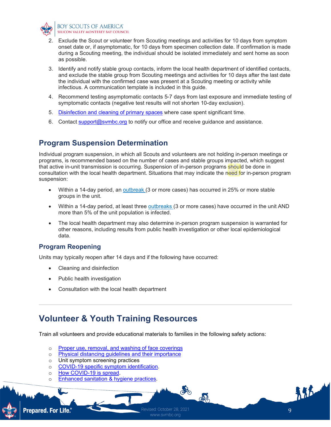

- 2. Exclude the Scout or volunteer from Scouting meetings and activities for 10 days from symptom onset date or, if asymptomatic, for 10 days from specimen collection date. If confirmation is made during a Scouting meeting, the individual should be isolated immediately and sent home as soon as possible.
- 3. Identify and notify stable group contacts, inform the local health department of identified contacts, and exclude the stable group from Scouting meetings and activities for 10 days after the last date the individual with the confirmed case was present at a Scouting meeting or activity while infectious. A communication template is included in this guide.
- 4. Recommend testing asymptomatic contacts 5-7 days from last exposure and immediate testing of symptomatic contacts (negative test results will not shorten 10-day exclusion).
- 5. [Disinfection and cleaning of primary spaces](https://www.cdph.ca.gov/Programs/CID/DCDC/Pages/COVID-19/COVID19-K12-Schools-InPerson-Instruction.aspx#c&d) where case spent significant time.
- 6. Contact [support@svmbc.org](mailto:support@svmbc.org) to notify our office and receive guidance and assistance.

## **Program Suspension Determination**

Individual program suspension, in which all Scouts and volunteers are not holding in-person meetings or programs, is recommended based on the number of cases and stable groups impacted, which suggest that active in-unit transmission is occurring. Suspension of in-person programs should be done in consultation with the local health department. Situations that may indicate the need for in-person program suspension:

- Within a 14-day period, an [outbreak](https://www.cdph.ca.gov/Programs/CID/DCDC/Pages/COVID-19/OutbreakDefinitionandReportingGuidance.aspx) (3 or more cases) has occurred in 25% or more stable groups in the unit.
- Within a 14-day period, at least three [outbreaks](https://www.cdph.ca.gov/Programs/CID/DCDC/Pages/COVID-19/OutbreakDefinitionandReportingGuidance.aspx) (3 or more cases) have occurred in the unit AND more than 5% of the unit population is infected.
- The local health department may also determine in-person program suspension is warranted for other reasons, including results from public health investigation or other local epidemiological data.

#### **Program Reopening**

Units may typically reopen after 14 days and if the following have occurred:

- Cleaning and disinfection
- Public health investigation
- Consultation with the local health department

## **Volunteer & Youth Training Resources**

Train all volunteers and provide educational materials to families in the following safety actions:

- o [Proper use, removal, and washing of face coverings](https://www.cdc.gov/coronavirus/2019-ncov/prevent-getting-sick/about-face-coverings.html)
- o Physical distancing quidelines and their importance
- o Unit symptom screening practices<br>
o COVID-19 specific symptom identi
- [COVID-19 specific symptom identification.](https://www.cdc.gov/coronavirus/2019-ncov/symptoms-testing/symptoms.html)
- o [How COVID-19 is spread.](https://www.cdc.gov/coronavirus/2019-ncov/prevent-getting-sick/how-covid-spreads.html)
- o [Enhanced sanitation & hygiene practices.](https://www.cdc.gov/handwashing/when-how-handwashing.html)

**Prepared. For Life.**®



ato

de

精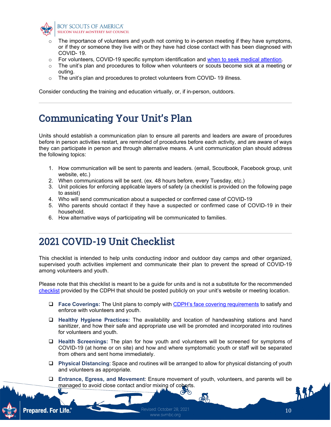

- The importance of volunteers and youth not coming to in-person meeting if they have symptoms, or if they or someone they live with or they have had close contact with has been diagnosed with COVID- 19.
- o For volunteers, COVID-19 specific symptom identification and [when to seek medical attention.](https://www.cdc.gov/coronavirus/2019-ncov/if-you-are-sick/steps-when-sick.html)
- $\circ$  The unit's plan and procedures to follow when volunteers or scouts become sick at a meeting or outing.
- o The unit's plan and procedures to protect volunteers from COVID-19 illness.

Consider conducting the training and education virtually, or, if in-person, outdoors.

# Communicating Your Unit's Plan

Units should establish a communication plan to ensure all parents and leaders are aware of procedures before in person activities restart, are reminded of procedures before each activity, and are aware of ways they can participate in person and through alternative means. A unit communication plan should address the following topics:

- 1. How communication will be sent to parents and leaders. (email, Scoutbook, Facebook group, unit website, etc.)
- 2. When communications will be sent. (ex. 48 hours before, every Tuesday, etc.)
- 3. Unit policies for enforcing applicable layers of safety (a checklist is provided on the following page to assist)
- 4. Who will send communication about a suspected or confirmed case of COVID-19
- 5. Who parents should contact if they have a suspected or confirmed case of COVID-19 in their household.
- 6. How alternative ways of participating will be communicated to families.

## 2021 COVID-19 Unit Checklist

This checklist is intended to help units conducting indoor and outdoor day camps and other organized, supervised youth activities implement and communicate their plan to prevent the spread of COVID-19 among volunteers and youth.

Please note that this checklist is meant to be a guide for units and is not a substitute for the recommended [checklist](https://files.covid19.ca.gov/pdf/checklist-daycamps--en.pdf) provided by the CDPH that should be posted publicly on your unit's website or meeting location.

- **Face Coverings:** The Unit plans to comply with [CDPH's face covering requirements](https://www.cdph.ca.gov/Programs/CID/DCDC/Pages/COVID-19/guidance-for-face-coverings.aspx) to satisfy and enforce with volunteers and youth.
- **Healthy Hygiene Practices:** The availability and location of handwashing stations and hand sanitizer, and how their safe and appropriate use will be promoted and incorporated into routines for volunteers and youth.
- **Health Screenings:** The plan for how youth and volunteers will be screened for symptoms of COVID-19 (at home or on site) and how and where symptomatic youth or staff will be separated from others and sent home immediately.
- **Physical Distancing**: Space and routines will be arranged to allow for physical distancing of youth and volunteers as appropriate.
- **Entrance, Egress, and Movement**: Ensure movement of youth, volunteers, and parents will be managed to avoid close contact and/or mixing of cohorts.



www.svmbc.org

45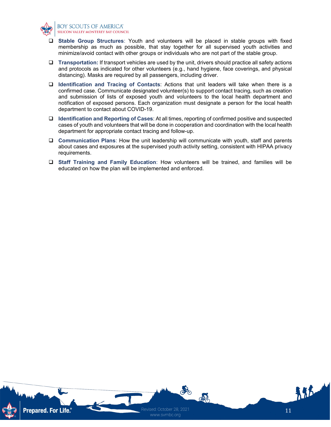

#### **BOY SCOUTS OF AMERICA®** SILICON VALLEY MONTEREY BAY COUNCIL

- **Stable Group Structures**: Youth and volunteers will be placed in stable groups with fixed membership as much as possible, that stay together for all supervised youth activities and minimize/avoid contact with other groups or individuals who are not part of the stable group.
- **Transportation:** If transport vehicles are used by the unit, drivers should practice all safety actions and protocols as indicated for other volunteers (e.g., hand hygiene, face coverings, and physical distancing). Masks are required by all passengers, including driver.
- **Identification and Tracing of Contacts**: Actions that unit leaders will take when there is a confirmed case. Communicate designated volunteer(s) to support contact tracing, such as creation and submission of lists of exposed youth and volunteers to the local health department and notification of exposed persons. Each organization must designate a person for the local health department to contact about COVID-19.
- **Identification and Reporting of Cases**: At all times, reporting of confirmed positive and suspected cases of youth and volunteers that will be done in cooperation and coordination with the local health department for appropriate contact tracing and follow-up.
- **Communication Plans**: How the unit leadership will communicate with youth, staff and parents about cases and exposures at the supervised youth activity setting, consistent with HIPAA privacy requirements.
- **Staff Training and Family Education**: How volunteers will be trained, and families will be educated on how the plan will be implemented and enforced.

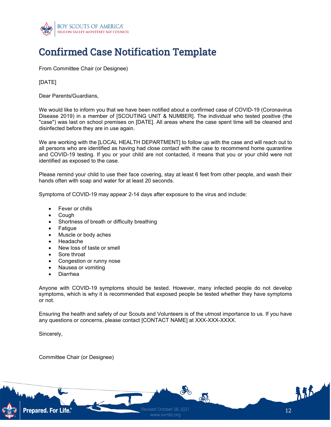

# Confirmed Case Notification Template

From Committee Chair (or Designee)

#### [DATE]

Dear Parents/Guardians,

We would like to inform you that we have been notified about a confirmed case of COVID-19 (Coronavirus Disease 2019) in a member of [SCOUTING UNIT & NUMBER]. The individual who tested positive (the "case") was last on school premises on [DATE]. All areas where the case spent time will be cleaned and disinfected before they are in use again.

We are working with the [LOCAL HEALTH DEPARTMENT] to follow up with the case and will reach out to all persons who are identified as having had close contact with the case to recommend home quarantine and COVID-19 testing. If you or your child are not contacted, it means that you or your child were not identified as exposed to the case.

Please remind your child to use their face covering, stay at least 6 feet from other people, and wash their hands often with soap and water for at least 20 seconds.

Symptoms of COVID-19 may appear 2-14 days after exposure to the virus and include:

- Fever or chills
- Cough
- Shortness of breath or difficulty breathing
- Fatigue
- Muscle or body aches
- Headache
- New loss of taste or smell
- Sore throat
- Congestion or runny nose
- Nausea or vomiting
- Diarrhea

Anyone with COVID-19 symptoms should be tested. However, many infected people do not develop symptoms, which is why it is recommended that exposed people be tested whether they have symptoms or not.

Ensuring the health and safety of our Scouts and Volunteers is of the utmost importance to us. If you have any questions or concerns, please contact [CONTACT NAME] at XXX-XXX-XXXX.

Sincerely,

Committee Chair (or Designee)